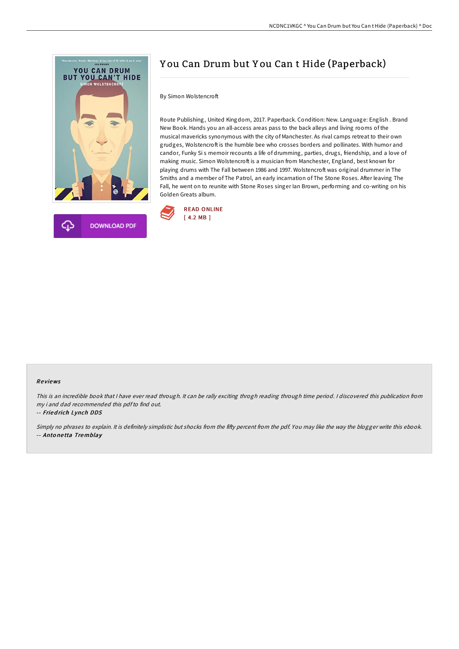

# Y ou Can Drum but Y ou Can t Hide (Paperback)

## By Simon Wolstencroft

Route Publishing, United Kingdom, 2017. Paperback. Condition: New. Language: English . Brand New Book. Hands you an all-access areas pass to the back alleys and living rooms of the musical mavericks synonymous with the city of Manchester. As rival camps retreat to their own grudges, Wolstencroft is the humble bee who crosses borders and pollinates. With humor and candor, Funky Si s memoir recounts a life of drumming, parties, drugs, friendship, and a love of making music. Simon Wolstencroft is a musician from Manchester, England, best known for playing drums with The Fall between 1986 and 1997. Wolstencroft was original drummer in The Smiths and a member of The Patrol, an early incarnation of The Stone Roses. After leaving The Fall, he went on to reunite with Stone Roses singer Ian Brown, performing and co-writing on his Golden Greats album.



### Re views

This is an incredible book that I have ever read through. It can be rally exciting throgh reading through time period. I discovered this publication from my i and dad recommended this pdfto find out.

-- Fried rich Lynch DDS

Simply no phrases to explain. It is definitely simplistic but shocks from the fifty percent from the pdf. You may like the way the blogger write this ebook. -- Anto ne tta Tremblay